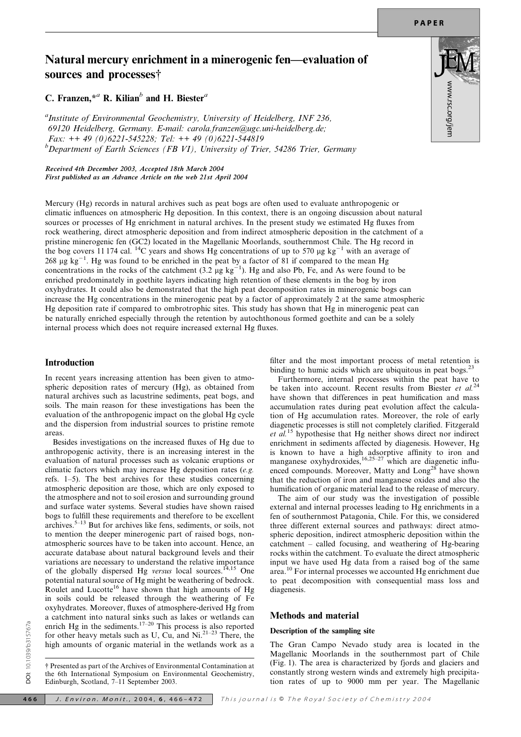466 J. Environ. Monit., 2004, 6, 466-472 This journal is © The Royal Society of Chemistry 2004

Natural mercury enrichment in a minerogenic fen—evaluation of sources and processes<sup>†</sup>

# C. Franzen,\*<sup>a</sup> R. Kilian<sup>b</sup> and H. Biester<sup>a</sup>

<sup>a</sup>Institute of Environmental Geochemistry, University of Heidelberg, INF 236, 69120 Heidelberg, Germany. E-mail: carola.franzen@ugc.uni-heidelberg.de; Fax: ++ 49 (0)6221-545228; Tel: ++ 49 (0)6221-544819 <sup>b</sup>Department of Earth Sciences (FB VI), University of Trier, 54286 Trier, Germany

Received 4th December 2003, Accepted 18th March 2004 First published as an Advance Article on the web 21st April 2004

Mercury (Hg) records in natural archives such as peat bogs are often used to evaluate anthropogenic or climatic influences on atmospheric Hg deposition. In this context, there is an ongoing discussion about natural sources or processes of Hg enrichment in natural archives. In the present study we estimated Hg fluxes from rock weathering, direct atmospheric deposition and from indirect atmospheric deposition in the catchment of a pristine minerogenic fen (GC2) located in the Magellanic Moorlands, southernmost Chile. The Hg record in the bog covers 11 174 cal. <sup>14</sup>C years and shows Hg concentrations of up to 570  $\mu$ g kg<sup>-1</sup> with an average of 268  $\mu$ g kg<sup>-1</sup>. Hg was found to be enriched in the peat by a factor of 81 if compared to the mean Hg concentrations in the rocks of the catchment  $(3.2 \text{ µg kg}^{-1})$ . Hg and also Pb, Fe, and As were found to be enriched predominately in goethite layers indicating high retention of these elements in the bog by iron oxyhydrates. It could also be demonstrated that the high peat decomposition rates in minerogenic bogs can increase the Hg concentrations in the minerogenic peat by a factor of approximately 2 at the same atmospheric Hg deposition rate if compared to ombrotrophic sites. This study has shown that Hg in minerogenic peat can be naturally enriched especially through the retention by autochthonous formed goethite and can be a solely internal process which does not require increased external Hg fluxes.

# Introduction

In recent years increasing attention has been given to atmospheric deposition rates of mercury (Hg), as obtained from natural archives such as lacustrine sediments, peat bogs, and soils. The main reason for these investigations has been the evaluation of the anthropogenic impact on the global Hg cycle and the dispersion from industrial sources to pristine remote areas.

Besides investigations on the increased fluxes of Hg due to anthropogenic activity, there is an increasing interest in the evaluation of natural processes such as volcanic eruptions or climatic factors which may increase Hg deposition rates (e.g. refs. 1–5). The best archives for these studies concerning atmospheric deposition are those, which are only exposed to the atmosphere and not to soil erosion and surrounding ground and surface water systems. Several studies have shown raised bogs to fulfill these requirements and therefore to be excellent archives.5–13 But for archives like fens, sediments, or soils, not to mention the deeper minerogenic part of raised bogs, nonatmospheric sources have to be taken into account. Hence, an accurate database about natural background levels and their variations are necessary to understand the relative importance of the globally dispersed Hg versus local sources.<sup>14,15</sup> One potential natural source of Hg might be weathering of bedrock. Roulet and Lucotte<sup>16</sup> have shown that high amounts of Hg in soils could be released through the weathering of Fe oxyhydrates. Moreover, fluxes of atmosphere-derived Hg from a catchment into natural sinks such as lakes or wetlands can enrich Hg in the sediments.<sup>17–20</sup> This process is also reported for other heavy metals such as U, Cu, and  $Ni.<sup>21–23</sup>$  There, the high amounts of organic material in the wetlands work as a

{ Presented as part of the Archives of Environmental Contamination at the 6th International Symposium on Environmental Geochemistry, Edinburgh, Scotland, 7–11 September 2003.

filter and the most important process of metal retention is binding to humic acids which are ubiquitous in peat bogs.<sup>23</sup>

Furthermore, internal processes within the peat have to be taken into account. Recent results from Biester et al.<sup>24</sup> have shown that differences in peat humification and mass accumulation rates during peat evolution affect the calculation of Hg accumulation rates. Moreover, the role of early diagenetic processes is still not completely clarified. Fitzgerald et  $al$ .<sup>15</sup> hypothesise that Hg neither shows direct nor indirect enrichment in sediments affected by diagenesis. However, Hg is known to have a high adsorptive affinity to iron and manganese oxyhydroxides, $16,25-27$  which are diagenetic influenced compounds. Moreover, Matty and  $\text{Long}^{28}$  have shown that the reduction of iron and manganese oxides and also the humification of organic material lead to the release of mercury.

The aim of our study was the investigation of possible external and internal processes leading to Hg enrichments in a fen of southernmost Patagonia, Chile. For this, we considered three different external sources and pathways: direct atmospheric deposition, indirect atmospheric deposition within the catchment – called focusing, and weathering of Hg-bearing rocks within the catchment. To evaluate the direct atmospheric input we have used Hg data from a raised bog of the same area.<sup>10</sup> For internal processes we accounted Hg enrichment due to peat decomposition with consequential mass loss and diagenesis.

# Methods and material

# Description of the sampling site

The Gran Campo Nevado study area is located in the Magellanic Moorlands in the southernmost part of Chile (Fig. 1). The area is characterized by fjords and glaciers and constantly strong western winds and extremely high precipitation rates of up to 9000 mm per year. The Magellanic

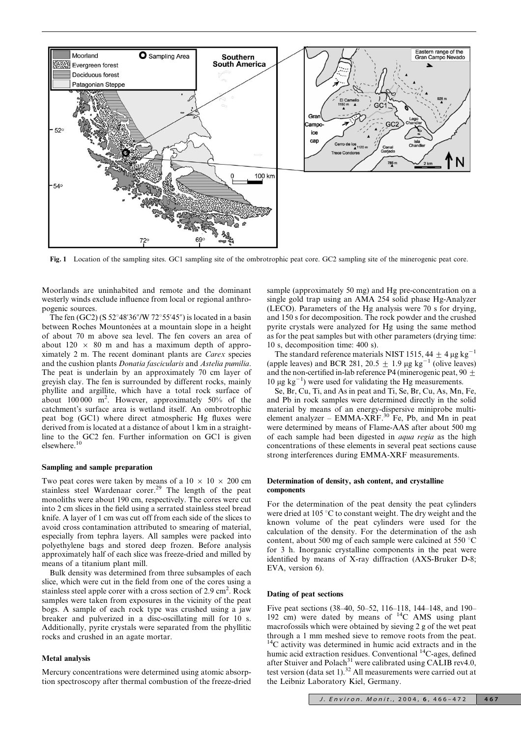

Fig. 1 Location of the sampling sites. GC1 sampling site of the ombrotrophic peat core. GC2 sampling site of the minerogenic peat core.

Moorlands are uninhabited and remote and the dominant westerly winds exclude influence from local or regional anthropogenic sources.

The fen (GC2) (S  $52^{\circ}48'36''/W$   $72^{\circ}55'45''$ ) is located in a basin between Roches Mountonées at a mountain slope in a height of about 70 m above sea level. The fen covers an area of about  $120 \times 80$  m and has a maximum depth of approximately 2 m. The recent dominant plants are Carex species and the cushion plants Donatia fascicularis and Astelia pumilia. The peat is underlain by an approximately 70 cm layer of greyish clay. The fen is surrounded by different rocks, mainly phyllite and argillite, which have a total rock surface of about 100 000 m<sup>2</sup> . However, approximately 50% of the catchment's surface area is wetland itself. An ombrotrophic peat bog (GC1) where direct atmospheric Hg fluxes were derived from is located at a distance of about 1 km in a straightline to the GC2 fen. Further information on GC1 is given elsewhere.<sup>10</sup>

### Sampling and sample preparation

Two peat cores were taken by means of a  $10 \times 10 \times 200$  cm stainless steel Wardenaar corer.<sup>29</sup> The length of the peat monoliths were about 190 cm, respectively. The cores were cut into 2 cm slices in the field using a serrated stainless steel bread knife. A layer of 1 cm was cut off from each side of the slices to avoid cross contamination attributed to smearing of material, especially from tephra layers. All samples were packed into polyethylene bags and stored deep frozen. Before analysis approximately half of each slice was freeze-dried and milled by means of a titanium plant mill.

Bulk density was determined from three subsamples of each slice, which were cut in the field from one of the cores using a stainless steel apple corer with a cross section of 2.9 cm<sup>2</sup>. Rock samples were taken from exposures in the vicinity of the peat bogs. A sample of each rock type was crushed using a jaw breaker and pulverized in a disc-oscillating mill for 10 s. Additionally, pyrite crystals were separated from the phyllitic rocks and crushed in an agate mortar.

## Metal analysis

Mercury concentrations were determined using atomic absorption spectroscopy after thermal combustion of the freeze-dried

sample (approximately 50 mg) and Hg pre-concentration on a single gold trap using an AMA 254 solid phase Hg-Analyzer (LECO). Parameters of the Hg analysis were 70 s for drying, and 150 s for decomposition. The rock powder and the crushed pyrite crystals were analyzed for Hg using the same method as for the peat samples but with other parameters (drying time: 10 s, decomposition time: 400 s).

The standard reference materials NIST 1515, 44  $\pm$  4  $\mu$ g kg<sup>-1</sup> (apple leaves) and BCR 281, 20.5  $\pm$  1.9 µg kg<sup>-1</sup> (olive leaves) and the non-certified in-lab reference P4 (minerogenic peat, 90  $\pm$ 10  $\mu$ g kg<sup>-1</sup>) were used for validating the Hg measurements.

Se, Br, Cu, Ti, and As in peat and Ti, Se, Br, Cu, As, Mn, Fe, and Pb in rock samples were determined directly in the solid material by means of an energy-dispersive miniprobe multielement analyzer –  $EMMA-XRF$ .<sup>30</sup> Fe, Pb, and Mn in peat were determined by means of Flame-AAS after about 500 mg of each sample had been digested in aqua regia as the high concentrations of these elements in several peat sections cause strong interferences during EMMA-XRF measurements.

### Determination of density, ash content, and crystalline components

For the determination of the peat density the peat cylinders were dried at 105 $\degree$ C to constant weight. The dry weight and the known volume of the peat cylinders were used for the calculation of the density. For the determination of the ash content, about 500 mg of each sample were calcined at 550  $^{\circ}$ C for 3 h. Inorganic crystalline components in the peat were identified by means of X-ray diffraction (AXS-Bruker D-8; EVA, version 6).

#### Dating of peat sections

Five peat sections (38–40, 50–52, 116–118, 144–148, and 190– 192 cm) were dated by means of  $^{14}$ C AMS using plant macrofossils which were obtained by sieving 2 g of the wet peat through a 1 mm meshed sieve to remove roots from the peat.  $14$ C activity was determined in humic acid extracts and in the humic acid extraction residues. Conventional <sup>14</sup>C-ages, defined after Stuiver and Polach<sup>31</sup> were calibrated using CALIB rev4.0, test version (data set 1).<sup>32</sup> All measurements were carried out at the Leibniz Laboratory Kiel, Germany.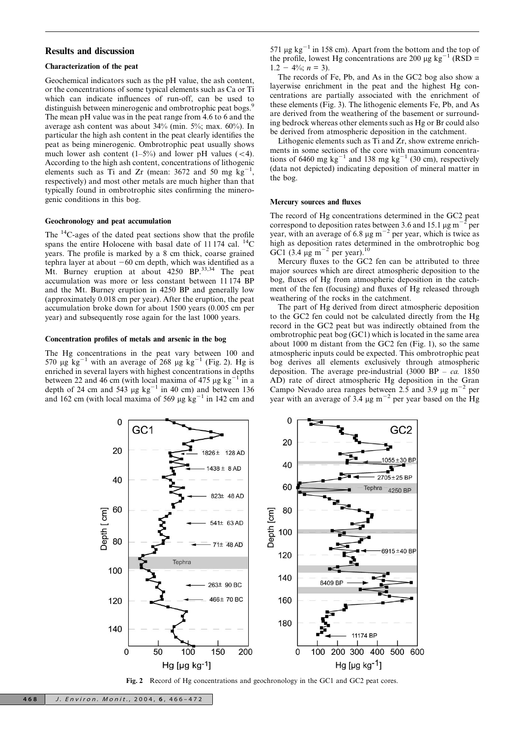# Results and discussion

# Characterization of the peat

Geochemical indicators such as the pH value, the ash content, or the concentrations of some typical elements such as Ca or Ti which can indicate influences of run-off, can be used to distinguish between minerogenic and ombrotrophic peat bogs.<sup>9</sup> The mean pH value was in the peat range from 4.6 to 6 and the average ash content was about 34% (min. 5%; max. 60%). In particular the high ash content in the peat clearly identifies the peat as being minerogenic. Ombrotrophic peat usually shows much lower ash content  $(1-5\%)$  and lower pH values  $(< 4)$ . According to the high ash content, concentrations of lithogenic elements such as Ti and Zr (mean:  $3672$  and  $50$  mg kg<sup>-1</sup> , respectively) and most other metals are much higher than that typically found in ombrotrophic sites confirming the minerogenic conditions in this bog.

#### Geochronology and peat accumulation

The 14C-ages of the dated peat sections show that the profile spans the entire Holocene with basal date of 11 174 cal. <sup>14</sup>C years. The profile is marked by a 8 cm thick, coarse grained tephra layer at about  $-60$  cm depth, which was identified as a Mt. Burney eruption at about 4250 BP.<sup>33,34</sup> The peat accumulation was more or less constant between 11 174 BP and the Mt. Burney eruption in 4250 BP and generally low (approximately 0.018 cm per year). After the eruption, the peat accumulation broke down for about 1500 years (0.005 cm per year) and subsequently rose again for the last 1000 years.

### Concentration profiles of metals and arsenic in the bog

The Hg concentrations in the peat vary between 100 and 570  $\mu$ g kg<sup>-1</sup> with an average of 268  $\mu$ g kg<sup>-1</sup> (Fig. 2). Hg is enriched in several layers with highest concentrations in depths between 22 and 46 cm (with local maxima of 475  $\mu$ g kg<sup>-1</sup> in a depth of 24 cm and 543  $\mu$ g kg<sup>-1</sup> in 40 cm) and between 136 and 162 cm (with local maxima of 569  $\mu$ g kg<sup>-1</sup> in 142 cm and

571  $\mu$ g kg<sup>-1</sup> in 158 cm). Apart from the bottom and the top of the profile, lowest Hg concentrations are 200  $\mu$ g kg<sup>-1</sup> (RSD =  $1.2 - 4\%$ ;  $n = 3$ ).

The records of Fe, Pb, and As in the GC2 bog also show a layerwise enrichment in the peat and the highest Hg concentrations are partially associated with the enrichment of these elements (Fig. 3). The lithogenic elements Fe, Pb, and As are derived from the weathering of the basement or surrounding bedrock whereas other elements such as Hg or Br could also be derived from atmospheric deposition in the catchment.

Lithogenic elements such as Ti and Zr, show extreme enrichments in some sections of the core with maximum concentrations of 6460 mg kg<sup>-1</sup> and 138 mg kg<sup>-1</sup> (30 cm), respectively (data not depicted) indicating deposition of mineral matter in the bog.

#### Mercury sources and fluxes

The record of Hg concentrations determined in the GC2 peat correspond to deposition rates between 3.6 and 15.1  $\mu$ g m<sup>-2</sup> per year, with an average of 6.8  $\mu$ g m<sup>-2</sup> per year, which is twice as high as deposition rates determined in the ombrotrophic bog GC1 (3.4  $\mu$ g m<sup>-2</sup> per year).<sup>10</sup>

Mercury fluxes to the GC2 fen can be attributed to three major sources which are direct atmospheric deposition to the bog, fluxes of Hg from atmospheric deposition in the catchment of the fen (focusing) and fluxes of Hg released through weathering of the rocks in the catchment.

The part of Hg derived from direct atmospheric deposition to the GC2 fen could not be calculated directly from the Hg record in the GC2 peat but was indirectly obtained from the ombrotrophic peat bog (GC1) which is located in the same area about 1000 m distant from the GC2 fen (Fig. 1), so the same atmospheric inputs could be expected. This ombrotrophic peat bog derives all elements exclusively through atmospheric deposition. The average pre-industrial (3000 BP –  $ca$ . 1850 AD) rate of direct atmospheric Hg deposition in the Gran Campo Nevado area ranges between 2.5 and 3.9  $\mu$ g m<sup>-2</sup> per year with an average of  $3.4 \mu g m^{-2}$  per year based on the Hg



Fig. 2 Record of Hg concentrations and geochronology in the GC1 and GC2 peat cores.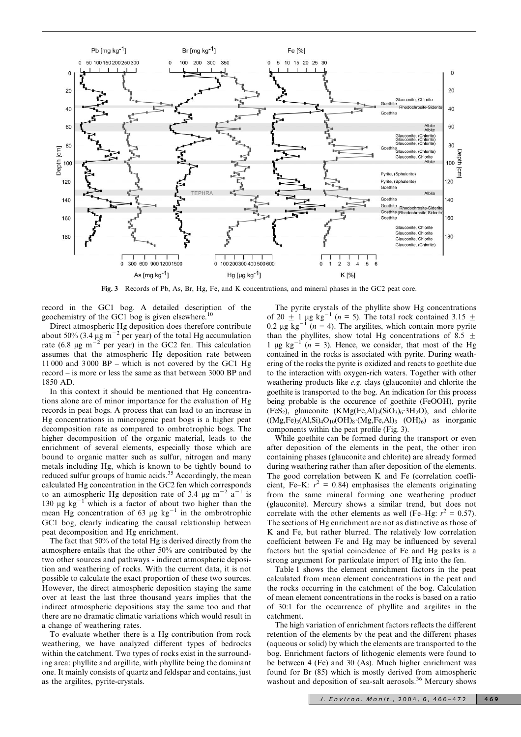

Fig. 3 Records of Pb, As, Br, Hg, Fe, and K concentrations, and mineral phases in the GC2 peat core.

record in the GC1 bog. A detailed description of the geochemistry of the GC1 bog is given elsewhere.<sup>10</sup>

Direct atmospheric Hg deposition does therefore contribute about 50% (3.4  $\mu$ g m<sup>-2</sup> per year) of the total Hg accumulation rate (6.8  $\mu$ g m<sup>-2</sup> per year) in the GC2 fen. This calculation assumes that the atmospheric Hg deposition rate between 11 000 and 3 000 BP – which is not covered by the GC1 Hg record – is more or less the same as that between 3000 BP and 1850 AD.

In this context it should be mentioned that Hg concentrations alone are of minor importance for the evaluation of Hg records in peat bogs. A process that can lead to an increase in Hg concentrations in minerogenic peat bogs is a higher peat decomposition rate as compared to ombrotrophic bogs. The higher decomposition of the organic material, leads to the enrichment of several elements, especially those which are bound to organic matter such as sulfur, nitrogen and many metals including Hg, which is known to be tightly bound to reduced sulfur groups of humic acids. $35$  Accordingly, the mean calculated Hg concentration in the GC2 fen which corresponds to an atmospheric Hg deposition rate of 3.4  $\mu$ g m<sup>-2</sup> a<sup>-1</sup> is 130  $\mu$ g kg<sup>-1</sup> which is a factor of about two higher than the mean Hg concentration of 63  $\mu$ g kg<sup>-1</sup> in the ombrotrophic GC1 bog, clearly indicating the causal relationship between peat decomposition and Hg enrichment.

The fact that 50% of the total Hg is derived directly from the atmosphere entails that the other 50% are contributed by the two other sources and pathways - indirect atmospheric deposition and weathering of rocks. With the current data, it is not possible to calculate the exact proportion of these two sources. However, the direct atmospheric deposition staying the same over at least the last three thousand years implies that the indirect atmospheric depositions stay the same too and that there are no dramatic climatic variations which would result in a change of weathering rates.

To evaluate whether there is a Hg contribution from rock weathering, we have analyzed different types of bedrocks within the catchment. Two types of rocks exist in the surrounding area: phyllite and argillite, with phyllite being the dominant one. It mainly consists of quartz and feldspar and contains, just as the argilites, pyrite-crystals.

The pyrite crystals of the phyllite show Hg concentrations of 20  $\pm$  1 µg kg<sup>-1</sup> (n = 5). The total rock contained 3.15  $\pm$ 0.2  $\mu$ g kg<sup>-1</sup> (n = 4). The argilites, which contain more pyrite than the phyllites, show total Hg concentrations of 8.5  $\pm$ 1 µg kg<sup>-1</sup> (n = 3). Hence, we consider, that most of the Hg contained in the rocks is associated with pyrite. During weathering of the rocks the pyrite is oxidized and reacts to goethite due to the interaction with oxygen-rich waters. Together with other weathering products like e.g. clays (glauconite) and chlorite the goethite is transported to the bog. An indication for this process being probable is the occurence of goethite (FeOOH), pyrite (FeS<sub>2</sub>), glauconite (KMg(Fe,Al)<sub>3</sub>(SiO<sub>3</sub>)<sub>6</sub>·3H<sub>2</sub>O), and chlorite  $((Mg,Fe)_{3}(Al,Si)_{4}O_{10}(OH)_{8}(Mg,Fe,Al)_{3}$  (OH)<sub>6</sub>) as inorganic components within the peat profile (Fig. 3).

While goethite can be formed during the transport or even after deposition of the elements in the peat, the other iron containing phases (glauconite and chlorite) are already formed during weathering rather than after deposition of the elements. The good correlation between K and Fe (correlation coefficient, Fe–K:  $r^2 = 0.84$ ) emphasises the elements originating from the same mineral forming one weathering product (glauconite). Mercury shows a similar trend, but does not correlate with the other elements as well (Fe–Hg:  $r^2 = 0.57$ ). The sections of Hg enrichment are not as distinctive as those of K and Fe, but rather blurred. The relatively low correlation coefficient between Fe and Hg may be influenced by several factors but the spatial coincidence of Fe and Hg peaks is a strong argument for particulate import of Hg into the fen.

Table 1 shows the element enrichment factors in the peat calculated from mean element concentrations in the peat and the rocks occurring in the catchment of the bog. Calculation of mean element concentrations in the rocks is based on a ratio of 30:1 for the occurrence of phyllite and argilites in the catchment.

The high variation of enrichment factors reflects the different retention of the elements by the peat and the different phases (aqueous or solid) by which the elements are transported to the bog. Enrichment factors of lithogenic elements were found to be between 4 (Fe) and 30 (As). Much higher enrichment was found for Br (85) which is mostly derived from atmospheric washout and deposition of sea-salt aerosols.<sup>36</sup> Mercury shows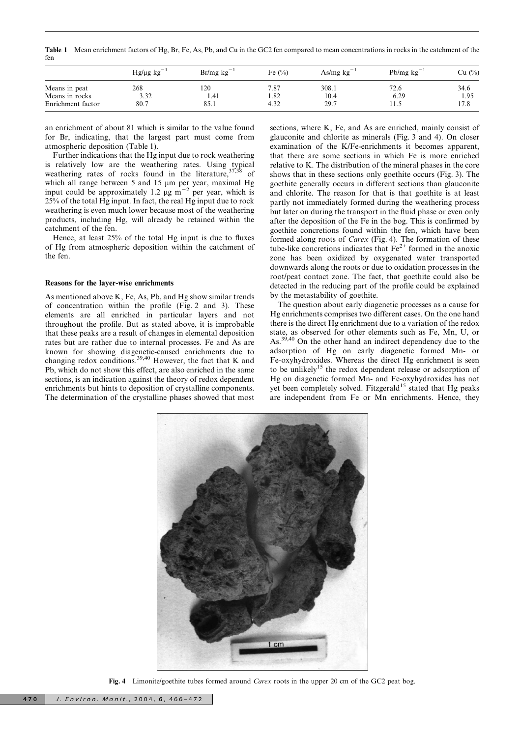Table 1 Mean enrichment factors of Hg, Br, Fe, As, Pb, and Cu in the GC2 fen compared to mean concentrations in rocks in the catchment of the fen

|                                 | $Hg/\mu g$ kg <sup>-1</sup> | $Br/mg kg^{-1}$ | Fe $(\% )$   | As/mg $kg^{-1}$ | Pb/mg $kg^-$ | $Cu$ $\left(\frac{9}{0}\right)$ |
|---------------------------------|-----------------------------|-----------------|--------------|-----------------|--------------|---------------------------------|
| Means in peat<br>Means in rocks | 268<br>3.32                 | 120<br>1.41     | 7.87<br>1.82 | 308.1<br>10.4   | 72.6<br>6.29 | 34.6<br>1.95                    |
| Enrichment factor               | 80.7                        | 85.1            | 4.32         | 29.7            | 11.5         | 17.8                            |

an enrichment of about 81 which is similar to the value found for Br, indicating, that the largest part must come from atmospheric deposition (Table 1).

Further indications that the Hg input due to rock weathering is relatively low are the weathering rates. Using typical weathering rates of rocks found in the literature,  $37,38$  of which all range between  $5$  and  $15 \mu m$  per year, maximal Hg input could be approximately 1.2  $\mu$ g m<sup>-2</sup> per year, which is 25% of the total Hg input. In fact, the real Hg input due to rock weathering is even much lower because most of the weathering products, including Hg, will already be retained within the catchment of the fen.

Hence, at least 25% of the total Hg input is due to fluxes of Hg from atmospheric deposition within the catchment of the fen.

#### Reasons for the layer-wise enrichments

As mentioned above K, Fe, As, Pb, and Hg show similar trends of concentration within the profile (Fig. 2 and 3). These elements are all enriched in particular layers and not throughout the profile. But as stated above, it is improbable that these peaks are a result of changes in elemental deposition rates but are rather due to internal processes. Fe and As are known for showing diagenetic-caused enrichments due to changing redox conditions.<sup>39,40</sup> However, the fact that K and Pb, which do not show this effect, are also enriched in the same sections, is an indication against the theory of redox dependent enrichments but hints to deposition of crystalline components. The determination of the crystalline phases showed that most

sections, where K, Fe, and As are enriched, mainly consist of glauconite and chlorite as minerals (Fig. 3 and 4). On closer examination of the K/Fe-enrichments it becomes apparent, that there are some sections in which Fe is more enriched relative to K. The distribution of the mineral phases in the core shows that in these sections only goethite occurs (Fig. 3). The goethite generally occurs in different sections than glauconite and chlorite. The reason for that is that goethite is at least partly not immediately formed during the weathering process but later on during the transport in the fluid phase or even only after the deposition of the Fe in the bog. This is confirmed by goethite concretions found within the fen, which have been formed along roots of Carex (Fig. 4). The formation of these tube-like concretions indicates that  $Fe<sup>2+</sup>$  formed in the anoxic zone has been oxidized by oxygenated water transported downwards along the roots or due to oxidation processes in the root/peat contact zone. The fact, that goethite could also be detected in the reducing part of the profile could be explained by the metastability of goethite.

The question about early diagenetic processes as a cause for Hg enrichments comprises two different cases. On the one hand there is the direct Hg enrichment due to a variation of the redox state, as observed for other elements such as Fe, Mn, U, or As.<sup>39,40</sup> On the other hand an indirect dependency due to the adsorption of Hg on early diagenetic formed Mn- or Fe-oxyhydroxides. Whereas the direct Hg enrichment is seen to be unlikely<sup>15</sup> the redox dependent release or adsorption of Hg on diagenetic formed Mn- and Fe-oxyhydroxides has not yet been completely solved. Fitzgerald<sup>15</sup> stated that Hg peaks are independent from Fe or Mn enrichments. Hence, they



Fig. 4 Limonite/goethite tubes formed around Carex roots in the upper 20 cm of the GC2 peat bog.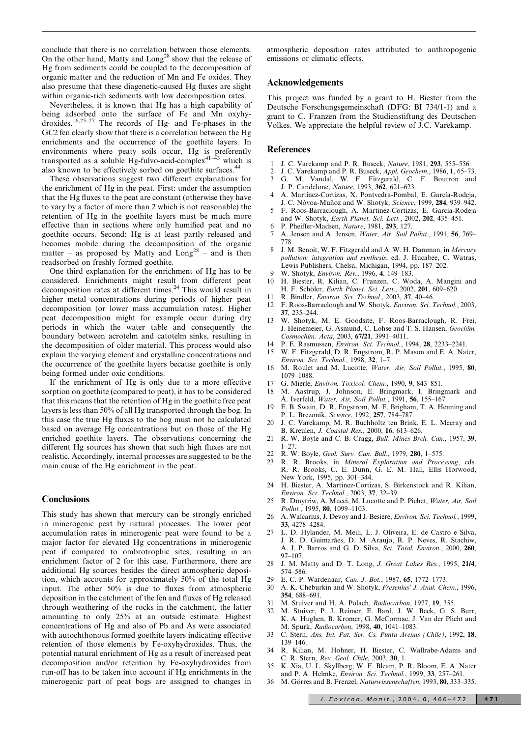conclude that there is no correlation between those elements. On the other hand, Matty and Long<sup>28</sup> show that the release of Hg from sediments could be coupled to the decomposition of organic matter and the reduction of Mn and Fe oxides. They also presume that these diagenetic-caused Hg fluxes are slight within organic-rich sediments with low decomposition rates.

Nevertheless, it is known that Hg has a high capability of being adsorbed onto the surface of Fe and Mn oxyhydroxides.16,25–27 The records of Hg- and Fe-phases in the GC2 fen clearly show that there is a correlation between the Hg enrichments and the occurrence of the goethite layers. In environments where peaty soils occur, Hg is preferently transported as a soluble Hg-fulvo-acid-complex<sup>41-43</sup> which is also known to be effectively sorbed on goethite surfaces.<sup>44</sup>

These observations suggest two different explanations for the enrichment of Hg in the peat. First: under the assumption that the Hg fluxes to the peat are constant (otherwise they have to vary by a factor of more than 2 which is not reasonable) the retention of Hg in the goethite layers must be much more effective than in sections where only humified peat and no goethite occurs. Second: Hg is at least partly released and becomes mobile during the decomposition of the organic matter – as proposed by Matty and  $Long<sup>28</sup>$  – and is then readsorbed on freshly formed goethite.

One third explanation for the enrichment of Hg has to be considered. Enrichments might result from different peat decomposition rates at different times.<sup>24</sup> This would result in higher metal concentrations during periods of higher peat decomposition (or lower mass accumulation rates). Higher peat decomposition might for example occur during dry periods in which the water table and consequently the boundary between acrotelm and catotelm sinks, resulting in the decomposition of older material. This process would also explain the varying element and crystalline concentrations and the occurrence of the goethite layers because goethite is only being formed under oxic conditions.

If the enrichment of Hg is only due to a more effective sorption on goethite (compared to peat), it has to be considered that this means that the retention of Hg in the goethite free peat layers is less than 50% of all Hg transported through the bog. In this case the true Hg fluxes to the bog must not be calculated based on average Hg concentrations but on those of the Hg enriched goethite layers. The observations concerning the different Hg sources has shown that such high fluxes are not realistic. Accordingly, internal processes are suggested to be the main cause of the Hg enrichment in the peat.

### **Conclusions**

This study has shown that mercury can be strongly enriched in minerogenic peat by natural processes. The lower peat accumulation rates in minerogenic peat were found to be a major factor for elevated Hg concentrations in minerogenic peat if compared to ombrotrophic sites, resulting in an enrichment factor of 2 for this case. Furthermore, there are additional Hg sources besides the direct atmospheric deposition, which accounts for approximately 50% of the total Hg input. The other 50% is due to fluxes from atmospheric deposition in the catchment of the fen and fluxes of Hg released through weathering of the rocks in the catchment, the latter amounting to only 25% at an outside estimate. Highest concentrations of Hg and also of Pb and As were associated with autochthonous formed goethite layers indicating effective retention of those elements by Fe-oxyhydroxides. Thus, the potential natural enrichment of Hg as a result of increased peat decomposition and/or retention by Fe-oxyhydroxides from run-off has to be taken into account if Hg enrichments in the minerogenic part of peat bogs are assigned to changes in

atmospheric deposition rates attributed to anthropogenic emissions or climatic effects.

## Acknowledgements

This project was funded by a grant to H. Biester from the Deutsche Forschungsgemeinschaft (DFG: BI 734/1-1) and a grant to C. Franzen from the Studienstiftung des Deutschen Volkes. We appreciate the helpful review of J.C. Varekamp.

#### References

- 1 J. C. Varekamp and P. R. Buseck, Nature, 1981, 293, 555–556.
- 2 J. C. Varekamp and P. R. Buseck, Appl. Geochem., 1986, 1, 65–73.<br>3 G. M. Vandal. W. F. Fitzgerald. C. F. Boutron and 3 G. M. Vandal, W. F. Fitzgerald, C. F. Boutron and J. P. Candelone, Nature, 1993, 362, 621–623.
- A. Martínez-Cortizas, X. Pontvedra-Pombal, E. García-Rodeja, J. C. Nóvoa-Muñoz and W. Shotyk, Science, 1999, 284, 939-942.
- 5 F. Roos-Barraclough, A. Martinez-Cortizas, E. García-Rodeja and W. Shotyk, Earth Planet. Sci. Lett., 2002, 202, 435–451.
- 6 P. Pheiffer-Madsen, Nature, 1981, 293, 127.
- 7 A. Jensen and A. Jensen, Water, Air, Soil Pollut., 1991, 56, 769-778.
- 8 J. M. Benoit, W. F. Fitzgerald and A. W. H. Damman, in Mercury pollution: integration and synthesis, ed. J. Hucabee, C. Watras, Lewis Publishers, Chelsa, Michigan, 1994, pp. 187–202.
- 9 W. Shotyk, Environ. Rev., 1996, 4, 149–183.
- 10 H. Biester, R. Kilian, C. Franzen, C. Woda, A. Mangini and H. F. Schöler, Earth Planet. Sci. Lett., 2002, 201, 609-620.
- 11 R. Bindler, Environ. Sci. Technol., 2003, 37, 40–46.
- 12 F. Roos-Barraclough and W. Shotyk, Environ. Sci. Technol., 2003, 37, 235–244.
- 13 W. Shotyk, M. E. Goodsite, F. Roos-Barraclough, R. Frei, J. Heinemeier, G. Asmund, C. Lohse and T. S. Hansen, Geochim. Cosmochim. Acta, 2003, 67/21, 3991–4011.
- 14 P. E. Rasmussen, Environ. Sci. Technol., 1994, 28, 2233–2241.
- 15 W. F. Fitzgerald, D. R. Engstrom, R. P. Mason and E. A. Nater, Environ. Sci. Technol., 1998, 32, 1–7.
- 16 M. Roulet and M. Lucotte, Water, Air, Soil Pollut., 1995, 80, 1079–1088.
- 17 G. Mierle, Environ. Toxicol. Chem., 1990, 9, 843–851.
- 18 M. Aastrup, J. Johnson, E. Bringmark, I. Bringmark and Å. Iverfeld, Water, Air, Soil Pollut., 1991, 56, 155-167.
- 19 E. B. Swain, D. R. Engstrom, M. E. Brigham, T. A. Henning and P. L. Brezonik, Science, 1992, 257, 784–787.
- 20 J. C. Varekamp, M. R. Buchholtz ten Brink, E. L. Mecray and B. Kreulen, J. Coastal Res., 2000, 16, 613–626.
- 21 R. W. Boyle and C. B. Cragg, Bull. Mines Brch. Can., 1957, 39,  $1 - 27$
- 22 R. W. Boyle, Geol. Surv. Can. Bull., 1979, 280, 1-575.
- 23 R. R. Brooks, in Mineral Exploration and Processing, eds. R. R. Brooks, C. E. Dunn, G. E. M. Hall, Ellis Horwood, New York, 1995, pp. 301–344.
- 24 H. Biester, A. Martinez-Cortizas, S. Birkenstock and R. Kilian, Environ. Sci. Technol., 2003, 37, 32–39.
- 25 R. Dmytriw, A. Mucci, M. Lucotte and P. Pichet, Water, Air, Soil Pollut., 1995, 80, 1099-1103.
- 26 A. Walcarius, J. Devoy and J. Besiere, Environ. Sci. Technol., 1999, 33, 4278–4284.
- 27 L. D. Hylander, M. Meili, L. J. Oliveira, E. de Castro e Silva, J. R. D. Guimarães, D. M. Araujo, R. P. Neves, R. Stachiw, A. J. P. Barros and G. D. Silva, Sci. Total. Environ., 2000, 260, 97–107.
- 28 J. M. Matty and D. T. Long, J. Great Lakes Res., 1995, 21/4, 574–586.
- 29 E. C. P. Wardenaar, Can. J. Bot., 1987, 65, 1772–1773.<br>30 A. K. Cheburkin and W. Shotyk. *Fresenius' J. Anal. Cha*
- A. K. Cheburkin and W. Shotyk, Fresenius' J. Anal. Chem., 1996, 354, 688–691.
- 31 M. Stuiver and H. A. Polach, Radiocarbon, 1977, 19, 355.
- M. Stuiver, P. J. Reimer, E. Bard, J. W. Beck, G. S. Burr, K. A. Hughen, B. Kromer, G. McCormac, J. Van der Plicht and M. Spurk, Radiocarbon, 1998, 40, 1041–1083.
- 33 C. Stern, Ans. Int. Pat. Ser. Cs. Punta Arenas (Chile), 1992, 18, 139–146.
- 34 R. Kilian, M. Hohner, H. Biester, C. Wallrabe-Adams and C. R. Stern, Rev. Geol. Chile, 2003, 30, 1.
- 35 K. Xia, U. L. Skyllberg, W. F. Bleam, P. R. Bloom, E. A. Nater and P. A. Helmke, Environ. Sci. Technol., 1999, 33, 257–261.
- 36 M. Görres and B. Frenzel, Naturwissenschaften, 1993, 80, 333-335.